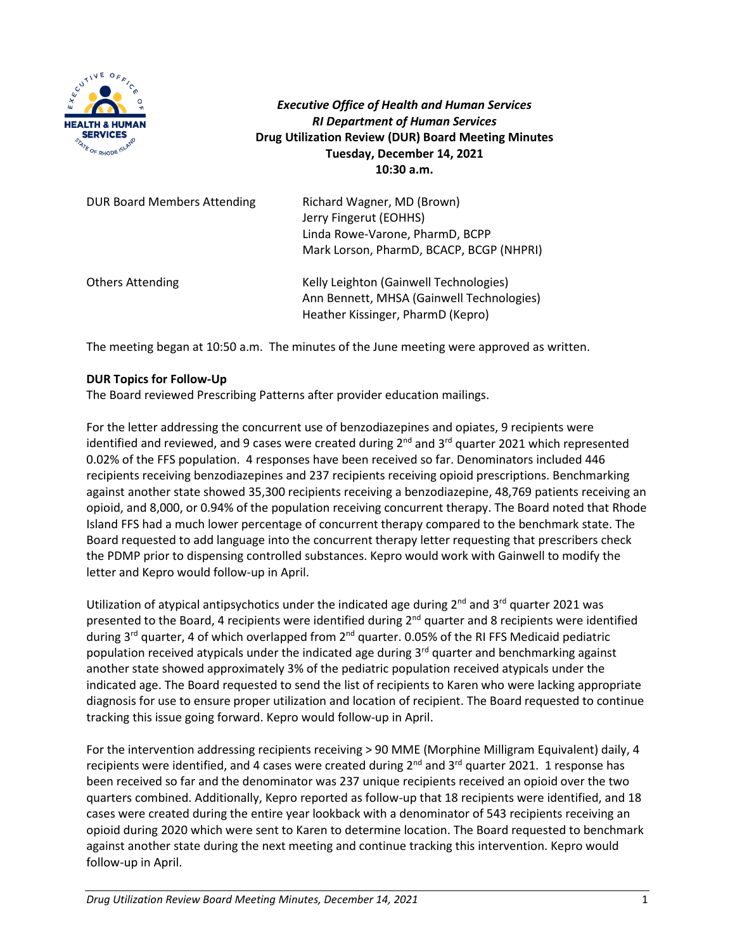

*Executive Office of Health and Human Services RI Department of Human Services* **Drug Utilization Review (DUR) Board Meeting Minutes Tuesday, December 14, 2021 10:30 a.m.**

| <b>DUR Board Members Attending</b> | Richard Wagner, MD (Brown)<br>Jerry Fingerut (EOHHS)<br>Linda Rowe-Varone, PharmD, BCPP<br>Mark Lorson, PharmD, BCACP, BCGP (NHPRI) |
|------------------------------------|-------------------------------------------------------------------------------------------------------------------------------------|
| <b>Others Attending</b>            | Kelly Leighton (Gainwell Technologies)<br>Ann Bennett, MHSA (Gainwell Technologies)<br>Heather Kissinger, PharmD (Kepro)            |

The meeting began at 10:50 a.m. The minutes of the June meeting were approved as written.

# **DUR Topics for Follow-Up**

The Board reviewed Prescribing Patterns after provider education mailings.

For the letter addressing the concurrent use of benzodiazepines and opiates, 9 recipients were identified and reviewed, and 9 cases were created during  $2^{nd}$  and  $3^{rd}$  quarter 2021 which represented 0.02% of the FFS population. 4 responses have been received so far. Denominators included 446 recipients receiving benzodiazepines and 237 recipients receiving opioid prescriptions. Benchmarking against another state showed 35,300 recipients receiving a benzodiazepine, 48,769 patients receiving an opioid, and 8,000, or 0.94% of the population receiving concurrent therapy. The Board noted that Rhode Island FFS had a much lower percentage of concurrent therapy compared to the benchmark state. The Board requested to add language into the concurrent therapy letter requesting that prescribers check the PDMP prior to dispensing controlled substances. Kepro would work with Gainwell to modify the letter and Kepro would follow-up in April.

Utilization of atypical antipsychotics under the indicated age during 2<sup>nd</sup> and 3<sup>rd</sup> quarter 2021 was presented to the Board, 4 recipients were identified during 2<sup>nd</sup> quarter and 8 recipients were identified during  $3^{rd}$  quarter, 4 of which overlapped from  $2^{nd}$  quarter. 0.05% of the RI FFS Medicaid pediatric population received atypicals under the indicated age during 3<sup>rd</sup> quarter and benchmarking against another state showed approximately 3% of the pediatric population received atypicals under the indicated age. The Board requested to send the list of recipients to Karen who were lacking appropriate diagnosis for use to ensure proper utilization and location of recipient. The Board requested to continue tracking this issue going forward. Kepro would follow-up in April.

For the intervention addressing recipients receiving > 90 MME (Morphine Milligram Equivalent) daily, 4 recipients were identified, and 4 cases were created during 2<sup>nd</sup> and 3<sup>rd</sup> quarter 2021. 1 response has been received so far and the denominator was 237 unique recipients received an opioid over the two quarters combined. Additionally, Kepro reported as follow-up that 18 recipients were identified, and 18 cases were created during the entire year lookback with a denominator of 543 recipients receiving an opioid during 2020 which were sent to Karen to determine location. The Board requested to benchmark against another state during the next meeting and continue tracking this intervention. Kepro would follow-up in April.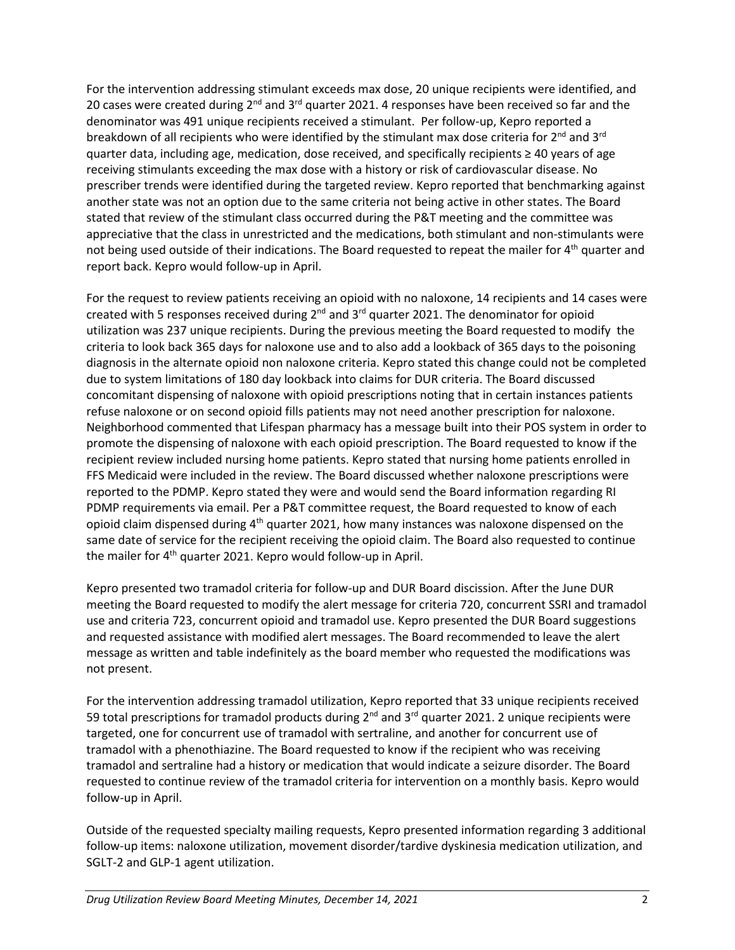For the intervention addressing stimulant exceeds max dose, 20 unique recipients were identified, and 20 cases were created during 2<sup>nd</sup> and 3<sup>rd</sup> quarter 2021. 4 responses have been received so far and the denominator was 491 unique recipients received a stimulant. Per follow-up, Kepro reported a breakdown of all recipients who were identified by the stimulant max dose criteria for  $2^{nd}$  and  $3^{rd}$ quarter data, including age, medication, dose received, and specifically recipients ≥ 40 years of age receiving stimulants exceeding the max dose with a history or risk of cardiovascular disease. No prescriber trends were identified during the targeted review. Kepro reported that benchmarking against another state was not an option due to the same criteria not being active in other states. The Board stated that review of the stimulant class occurred during the P&T meeting and the committee was appreciative that the class in unrestricted and the medications, both stimulant and non-stimulants were not being used outside of their indications. The Board requested to repeat the mailer for 4<sup>th</sup> quarter and report back. Kepro would follow-up in April.

For the request to review patients receiving an opioid with no naloxone, 14 recipients and 14 cases were created with 5 responses received during  $2^{nd}$  and  $3^{rd}$  quarter 2021. The denominator for opioid utilization was 237 unique recipients. During the previous meeting the Board requested to modify the criteria to look back 365 days for naloxone use and to also add a lookback of 365 days to the poisoning diagnosis in the alternate opioid non naloxone criteria. Kepro stated this change could not be completed due to system limitations of 180 day lookback into claims for DUR criteria. The Board discussed concomitant dispensing of naloxone with opioid prescriptions noting that in certain instances patients refuse naloxone or on second opioid fills patients may not need another prescription for naloxone. Neighborhood commented that Lifespan pharmacy has a message built into their POS system in order to promote the dispensing of naloxone with each opioid prescription. The Board requested to know if the recipient review included nursing home patients. Kepro stated that nursing home patients enrolled in FFS Medicaid were included in the review. The Board discussed whether naloxone prescriptions were reported to the PDMP. Kepro stated they were and would send the Board information regarding RI PDMP requirements via email. Per a P&T committee request, the Board requested to know of each opioid claim dispensed during  $4<sup>th</sup>$  quarter 2021, how many instances was naloxone dispensed on the same date of service for the recipient receiving the opioid claim. The Board also requested to continue the mailer for 4<sup>th</sup> quarter 2021. Kepro would follow-up in April.

Kepro presented two tramadol criteria for follow-up and DUR Board discission. After the June DUR meeting the Board requested to modify the alert message for criteria 720, concurrent SSRI and tramadol use and criteria 723, concurrent opioid and tramadol use. Kepro presented the DUR Board suggestions and requested assistance with modified alert messages. The Board recommended to leave the alert message as written and table indefinitely as the board member who requested the modifications was not present.

For the intervention addressing tramadol utilization, Kepro reported that 33 unique recipients received 59 total prescriptions for tramadol products during 2<sup>nd</sup> and 3<sup>rd</sup> quarter 2021. 2 unique recipients were targeted, one for concurrent use of tramadol with sertraline, and another for concurrent use of tramadol with a phenothiazine. The Board requested to know if the recipient who was receiving tramadol and sertraline had a history or medication that would indicate a seizure disorder. The Board requested to continue review of the tramadol criteria for intervention on a monthly basis. Kepro would follow-up in April.

Outside of the requested specialty mailing requests, Kepro presented information regarding 3 additional follow-up items: naloxone utilization, movement disorder/tardive dyskinesia medication utilization, and SGLT-2 and GLP-1 agent utilization.